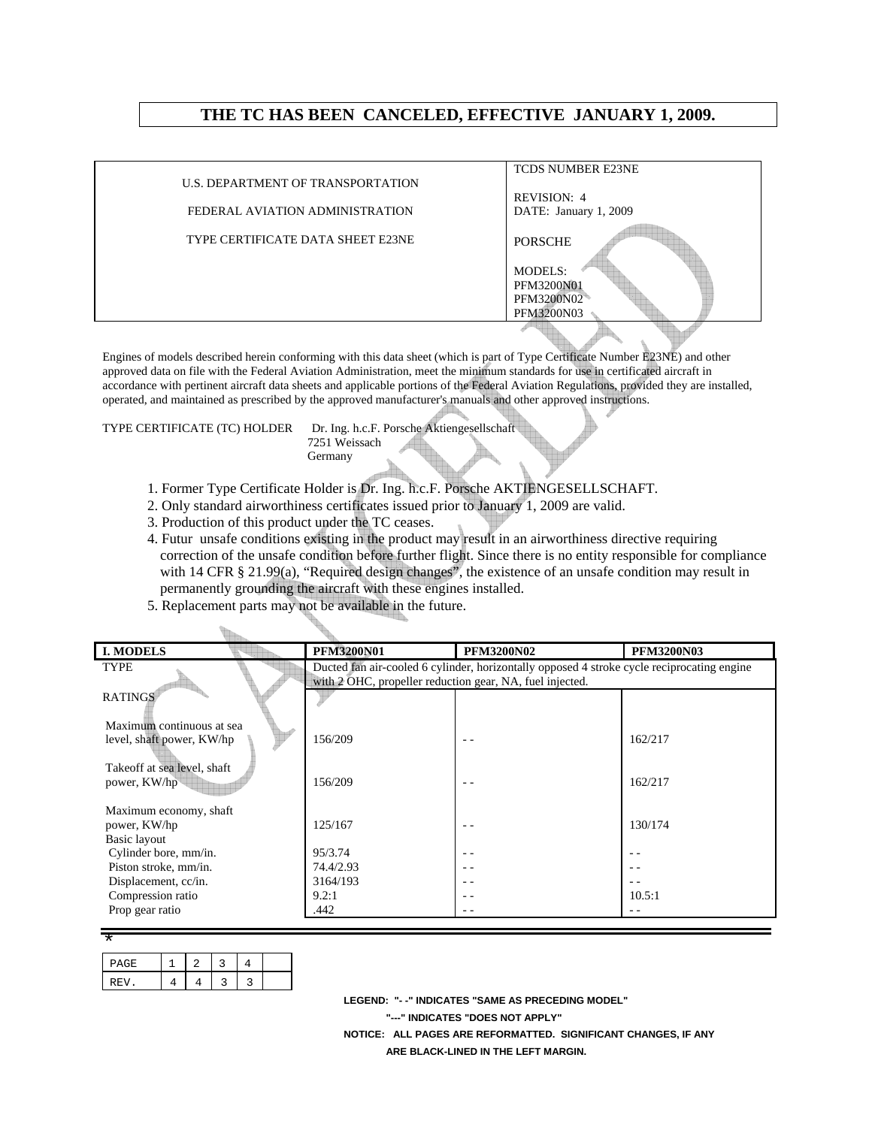## **THE TC HAS BEEN CANCELED, EFFECTIVE JANUARY 1, 2009.**

|                                   | <b>TCDS NUMBER E23NE</b> |
|-----------------------------------|--------------------------|
| U.S. DEPARTMENT OF TRANSPORTATION |                          |
|                                   | REVISION: 4              |
| FEDERAL AVIATION ADMINISTRATION   | DATE: January 1, 2009    |
| TYPE CERTIFICATE DATA SHEET E23NE | <b>PORSCHE</b>           |
|                                   | <b>MODELS:</b>           |
|                                   | PFM3200N01               |
|                                   | PFM3200N02               |
|                                   | PFM3200N03               |
|                                   |                          |

Engines of models described herein conforming with this data sheet (which is part of Type Certificate Number E23NE) and other approved data on file with the Federal Aviation Administration, meet the minimum standards for use in certificated aircraft in accordance with pertinent aircraft data sheets and applicable portions of the Federal Aviation Regulations, provided they are installed, operated, and maintained as prescribed by the approved manufacturer's manuals and other approved instructions.

TYPE CERTIFICATE (TC) HOLDER Dr. Ing. h.c.F. Porsche Aktiengesellschaft 7251 Weissach Germany

- 1. Former Type Certificate Holder is Dr. Ing. h.c.F. Porsche AKTIENGESELLSCHAFT.
- 2. Only standard airworthiness certificates issued prior to January 1, 2009 are valid.
- 3. Production of this product under the TC ceases.
- 4. Futur unsafe conditions existing in the product may result in an airworthiness directive requiring correction of the unsafe condition before further flight. Since there is no entity responsible for compliance with 14 CFR § 21.99(a), "Required design changes", the existence of an unsafe condition may result in permanently grounding the aircraft with these engines installed.
- 5. Replacement parts may not be available in the future.

| <b>I. MODELS</b>            | <b>PFM3200N01</b>                                        | <b>PFM3200N02</b>                                                                          | <b>PFM3200N03</b> |
|-----------------------------|----------------------------------------------------------|--------------------------------------------------------------------------------------------|-------------------|
| TYPE                        |                                                          | Ducted fan air-cooled 6 cylinder, horizontally opposed 4 stroke cycle reciprocating engine |                   |
|                             | with 2 OHC, propeller reduction gear, NA, fuel injected. |                                                                                            |                   |
| <b>RATINGS</b>              |                                                          |                                                                                            |                   |
|                             |                                                          |                                                                                            |                   |
| Maximum continuous at sea   |                                                          |                                                                                            |                   |
| level, shaft power, KW/hp   | 156/209                                                  |                                                                                            | 162/217           |
|                             |                                                          |                                                                                            |                   |
| Takeoff at sea level, shaft |                                                          |                                                                                            |                   |
| power, KW/hp                | 156/209                                                  |                                                                                            | 162/217           |
|                             |                                                          |                                                                                            |                   |
| Maximum economy, shaft      |                                                          |                                                                                            |                   |
| power, KW/hp                | 125/167                                                  |                                                                                            | 130/174           |
| Basic layout                |                                                          |                                                                                            |                   |
| Cylinder bore, mm/in.       | 95/3.74                                                  | . .                                                                                        |                   |
| Piston stroke, mm/in.       | 74.4/2.93                                                |                                                                                            |                   |
| Displacement, cc/in.        | 3164/193                                                 |                                                                                            |                   |
| Compression ratio           | 9.2:1                                                    | - -                                                                                        | 10.5:1            |
| Prop gear ratio             | .442                                                     |                                                                                            |                   |
|                             |                                                          |                                                                                            |                   |

| PAGE |  |  |  |
|------|--|--|--|
| REV. |  |  |  |

 **LEGEND: "- -" INDICATES "SAME AS PRECEDING MODEL" "---" INDICATES "DOES NOT APPLY" NOTICE: ALL PAGES ARE REFORMATTED. SIGNIFICANT CHANGES, IF ANY ARE BLACK-LINED IN THE LEFT MARGIN.**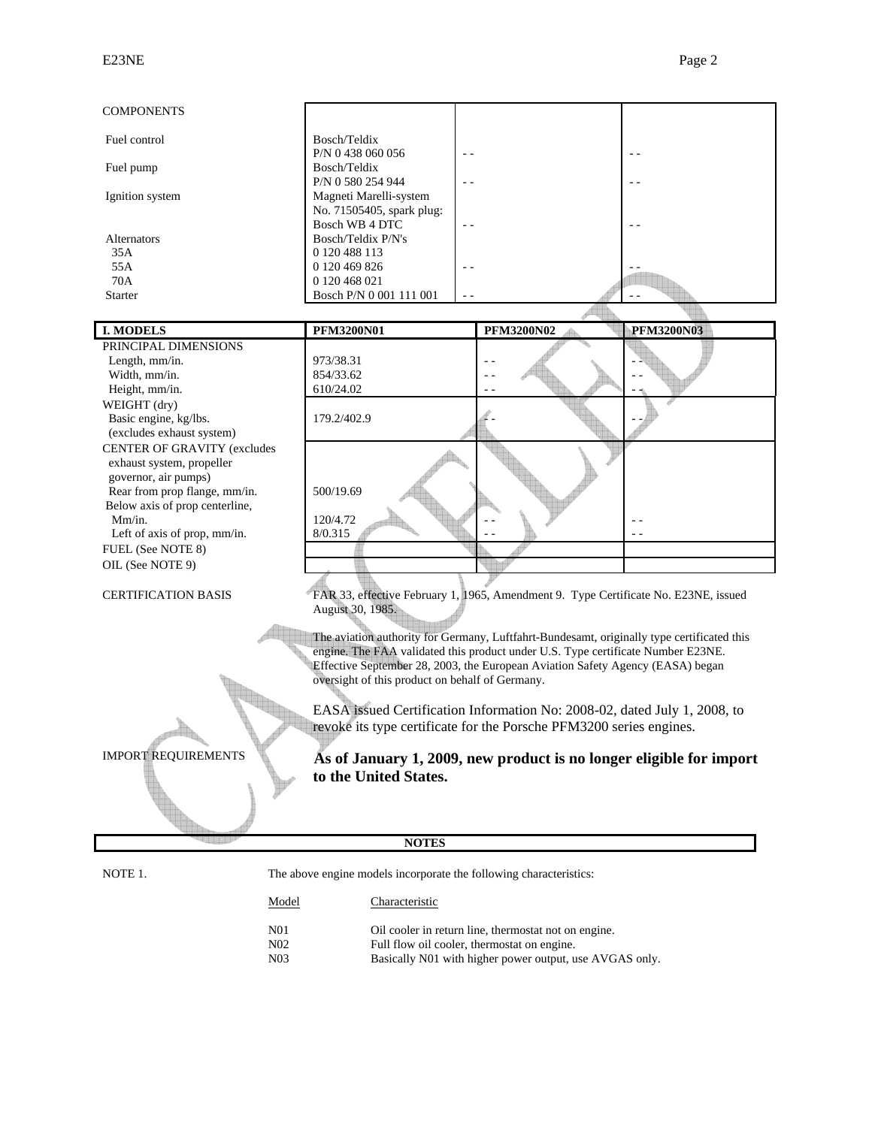| <b>COMPONENTS</b>              |                                                                                                                                                                    |                   |                   |
|--------------------------------|--------------------------------------------------------------------------------------------------------------------------------------------------------------------|-------------------|-------------------|
| Fuel control                   | Bosch/Teldix<br>P/N 0 438 060 056<br>$ -$                                                                                                                          |                   |                   |
| Fuel pump                      | Bosch/Teldix<br>P/N 0 580 254 944                                                                                                                                  |                   |                   |
| Ignition system                | Magneti Marelli-system<br>No. 71505405, spark plug:                                                                                                                |                   |                   |
| Alternators<br>35A             | Bosch WB 4 DTC<br>Bosch/Teldix P/N's<br>0 120 488 113                                                                                                              |                   |                   |
| 55A                            | 0 120 469 826                                                                                                                                                      |                   |                   |
| 70A                            | 0 120 468 021                                                                                                                                                      |                   |                   |
| <b>Starter</b>                 | Bosch P/N 0 001 111 001                                                                                                                                            |                   |                   |
|                                |                                                                                                                                                                    |                   |                   |
| <b>I. MODELS</b>               | <b>PFM3200N01</b>                                                                                                                                                  | <b>PFM3200N02</b> | <b>PFM3200N03</b> |
| PRINCIPAL DIMENSIONS           |                                                                                                                                                                    |                   |                   |
| Length, mm/in.                 | 973/38.31                                                                                                                                                          |                   |                   |
| Width, mm/in.                  | 854/33.62                                                                                                                                                          |                   |                   |
| Height, mm/in.                 | 610/24.02                                                                                                                                                          |                   |                   |
| WEIGHT (dry)                   |                                                                                                                                                                    |                   |                   |
| Basic engine, kg/lbs.          | 179.2/402.9                                                                                                                                                        |                   |                   |
| (excludes exhaust system)      |                                                                                                                                                                    |                   |                   |
| CENTER OF GRAVITY (excludes    |                                                                                                                                                                    |                   |                   |
| exhaust system, propeller      |                                                                                                                                                                    |                   |                   |
| governor, air pumps)           |                                                                                                                                                                    |                   |                   |
| Rear from prop flange, mm/in.  | 500/19.69                                                                                                                                                          |                   |                   |
| Below axis of prop centerline, |                                                                                                                                                                    |                   |                   |
| Mm/in.                         | 120/4.72                                                                                                                                                           |                   |                   |
| Left of axis of prop, mm/in.   | 8/0.315                                                                                                                                                            |                   |                   |
| FUEL (See NOTE 8)              |                                                                                                                                                                    |                   |                   |
| OIL (See NOTE 9)               |                                                                                                                                                                    |                   |                   |
|                                |                                                                                                                                                                    |                   |                   |
| <b>CERTIFICATION BASIS</b>     | FAR 33, effective February 1, 1965, Amendment 9. Type Certificate No. E23NE, issued                                                                                |                   |                   |
|                                | August 30, 1985.                                                                                                                                                   |                   |                   |
|                                |                                                                                                                                                                    |                   |                   |
|                                | The aviation authority for Germany, Luftfahrt-Bundesamt, originally type certificated this                                                                         |                   |                   |
|                                | engine. The FAA validated this product under U.S. Type certificate Number E23NE.<br>Effective September 28, 2003, the European Aviation Safety Agency (EASA) began |                   |                   |
|                                | oversight of this product on behalf of Germany.                                                                                                                    |                   |                   |
|                                |                                                                                                                                                                    |                   |                   |
|                                | EASA issued Certification Information No: 2008-02, dated July 1, 2008, to                                                                                          |                   |                   |
|                                | revoke its type certificate for the Porsche PFM3200 series engines.                                                                                                |                   |                   |
|                                |                                                                                                                                                                    |                   |                   |
| <b>IMPORT REQUIREMENTS</b>     |                                                                                                                                                                    |                   |                   |
|                                | As of January 1, 2009, new product is no longer eligible for import                                                                                                |                   |                   |
|                                | to the United States.                                                                                                                                              |                   |                   |
|                                |                                                                                                                                                                    |                   |                   |
|                                |                                                                                                                                                                    |                   |                   |
|                                |                                                                                                                                                                    |                   |                   |
|                                | <b>NOTES</b>                                                                                                                                                       |                   |                   |
|                                |                                                                                                                                                                    |                   |                   |
| NOTE 1.                        | The above engine models incorporate the following characteristics:                                                                                                 |                   |                   |
|                                |                                                                                                                                                                    |                   |                   |

| Model                              | Characteristic                                                                                      |
|------------------------------------|-----------------------------------------------------------------------------------------------------|
| N <sub>01</sub><br>N <sub>02</sub> | Oil cooler in return line, thermostat not on engine.<br>Full flow oil cooler, thermostat on engine. |
| N <sub>03</sub>                    | Basically N01 with higher power output, use AVGAS only.                                             |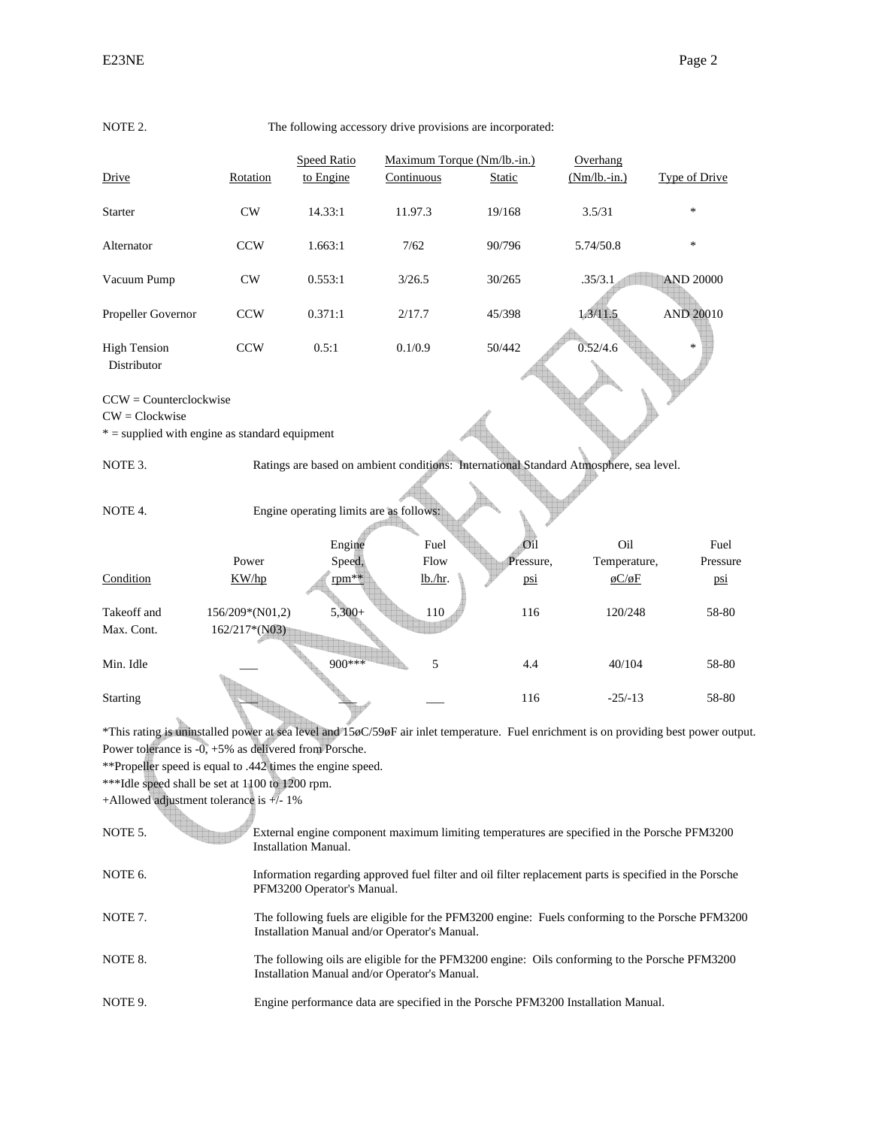| NOTE 2.                                                              |                 |                                         | The following accessory drive provisions are incorporated: |               |                                                                                                         |                                                                                                                                          |
|----------------------------------------------------------------------|-----------------|-----------------------------------------|------------------------------------------------------------|---------------|---------------------------------------------------------------------------------------------------------|------------------------------------------------------------------------------------------------------------------------------------------|
|                                                                      |                 | <b>Speed Ratio</b>                      | Maximum Torque (Nm/lb.-in.)                                |               | Overhang                                                                                                |                                                                                                                                          |
| Drive                                                                | Rotation        | to Engine                               | Continuous                                                 | <b>Static</b> | $(Nm/lb.-in.)$                                                                                          | <b>Type of Drive</b>                                                                                                                     |
| Starter                                                              | CW              | 14.33:1                                 | 11.97.3                                                    | 19/168        | 3.5/31                                                                                                  | *                                                                                                                                        |
| Alternator                                                           | <b>CCW</b>      | 1.663:1                                 | 7/62                                                       | 90/796        | 5.74/50.8                                                                                               | $\ast$                                                                                                                                   |
| Vacuum Pump                                                          | CW              | 0.553:1                                 | 3/26.5                                                     | 30/265        | .35/3.1                                                                                                 | <b>AND 20000</b>                                                                                                                         |
| Propeller Governor                                                   | <b>CCW</b>      | 0.371:1                                 | 2/17.7                                                     | 45/398        | 1.3/11.5                                                                                                | <b>AND 20010</b>                                                                                                                         |
| <b>High Tension</b><br>Distributor                                   | <b>CCW</b>      | 0.5:1                                   | 0.1/0.9                                                    | 50/442        | 0.52/4.6                                                                                                |                                                                                                                                          |
| $CCW = Counterclockwise$                                             |                 |                                         |                                                            |               |                                                                                                         |                                                                                                                                          |
| $CW = Clockwise$<br>$* =$ supplied with engine as standard equipment |                 |                                         |                                                            |               |                                                                                                         |                                                                                                                                          |
|                                                                      |                 |                                         |                                                            |               |                                                                                                         |                                                                                                                                          |
| NOTE 3.                                                              |                 |                                         |                                                            |               | Ratings are based on ambient conditions: International Standard Atmosphere, sea level.                  |                                                                                                                                          |
| NOTE 4.                                                              |                 | Engine operating limits are as follows: |                                                            |               |                                                                                                         |                                                                                                                                          |
|                                                                      |                 | Engine                                  | Fuel                                                       | Oil           | Oil                                                                                                     | Fuel                                                                                                                                     |
|                                                                      | Power           | Speed,                                  | Flow                                                       | Pressure,     | Temperature,                                                                                            | Pressure                                                                                                                                 |
| Condition                                                            | KW/hp           | $rpm**$                                 | lb/hr.                                                     | psi           | $\phi$ C/ $\phi$ F                                                                                      | $\overline{\text{psi}}$                                                                                                                  |
| Takeoff and                                                          | 156/209*(N01,2) | $5,300+$                                | 110                                                        | 116           | 120/248                                                                                                 | 58-80                                                                                                                                    |
| Max. Cont.                                                           | 162/217*(N03)   |                                         |                                                            |               |                                                                                                         |                                                                                                                                          |
| Min. Idle                                                            |                 | $900***$                                | 5                                                          | 4.4           | 40/104                                                                                                  | 58-80                                                                                                                                    |
| <b>Starting</b>                                                      |                 |                                         |                                                            | 116           | $-25/-13$                                                                                               | 58-80                                                                                                                                    |
|                                                                      |                 |                                         |                                                            |               |                                                                                                         | *This rating is uninstalled power at sea level and 15 pC/59 pF air inlet temperature. Fuel enrichment is on providing best power output. |
| Power tolerance is $-0$ , $+5\%$ as delivered from Porsche.          |                 |                                         |                                                            |               |                                                                                                         |                                                                                                                                          |
| **Propeller speed is equal to .442 times the engine speed.           |                 |                                         |                                                            |               |                                                                                                         |                                                                                                                                          |
| ***Idle speed shall be set at 1100 to 1200 rpm.                      |                 |                                         |                                                            |               |                                                                                                         |                                                                                                                                          |
| +Allowed adjustment tolerance is +/- 1%                              |                 |                                         |                                                            |               |                                                                                                         |                                                                                                                                          |
| NOTE 5.                                                              |                 | <b>Installation Manual.</b>             |                                                            |               | External engine component maximum limiting temperatures are specified in the Porsche PFM3200            |                                                                                                                                          |
| NOTE 6.                                                              |                 | PFM3200 Operator's Manual.              |                                                            |               | Information regarding approved fuel filter and oil filter replacement parts is specified in the Porsche |                                                                                                                                          |
| NOTE 7.                                                              |                 |                                         | Installation Manual and/or Operator's Manual.              |               |                                                                                                         | The following fuels are eligible for the PFM3200 engine: Fuels conforming to the Porsche PFM3200                                         |
| NOTE 8.                                                              |                 |                                         | Installation Manual and/or Operator's Manual.              |               | The following oils are eligible for the PFM3200 engine: Oils conforming to the Porsche PFM3200          |                                                                                                                                          |
| NOTE 9.                                                              |                 |                                         |                                                            |               | Engine performance data are specified in the Porsche PFM3200 Installation Manual.                       |                                                                                                                                          |